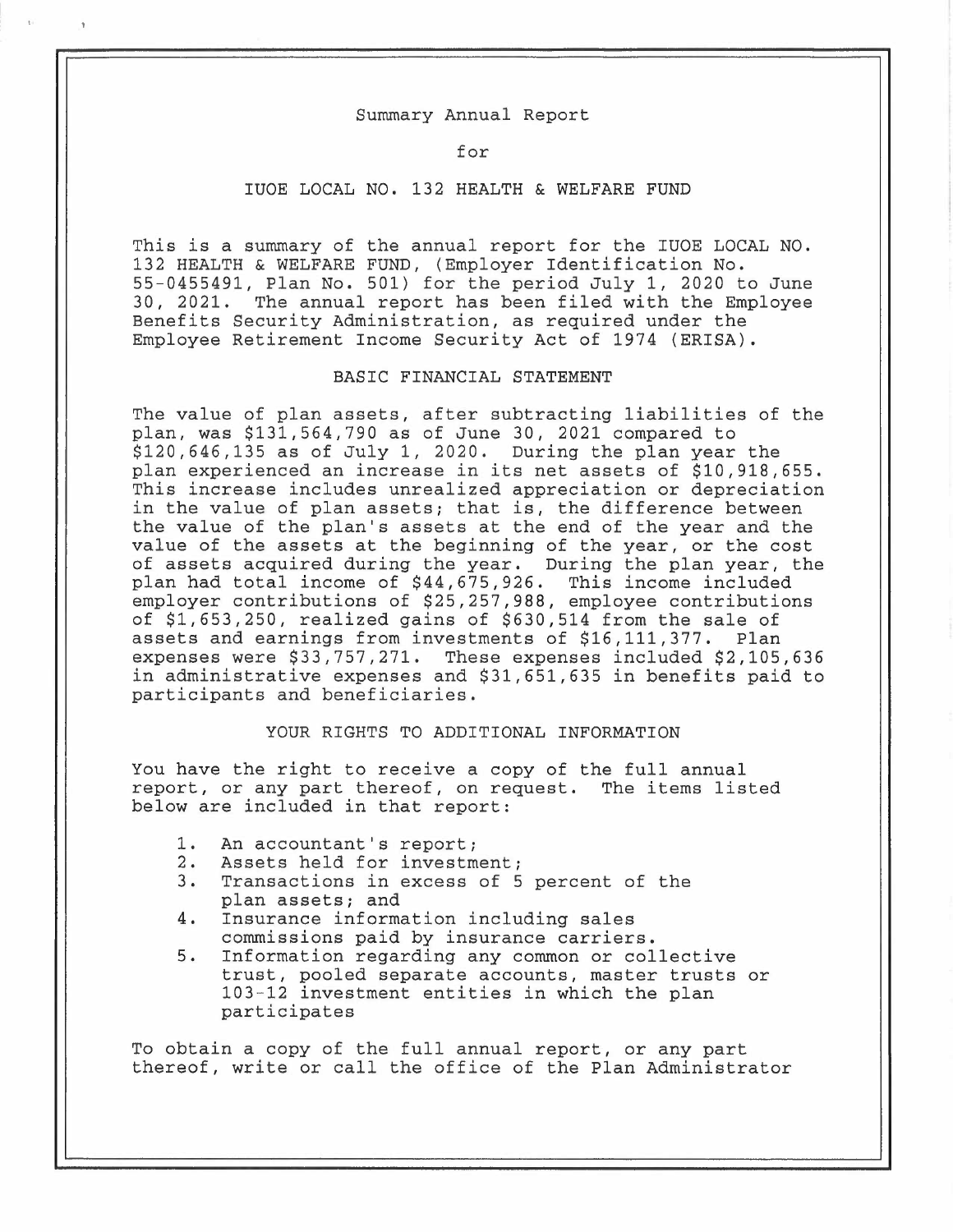#### Summary Annual Report

#### for

# IUOE LOCAL NO. 132 HEALTH & WELFARE FUND

This is a summary of the annual report for the IUOE LOCAL NO. 132 HEALTH & WELFARE FUND, (Employer Identification No. 55-0455491, Plan No. 501) for the period July 1, 2020 to June 30, 2021. The annual report has been filed with the Employee Benefits Security Administration, as required under the Employee Retirement Income Security Act of 1974 (ERISA).

# BASIC FINANCIAL STATEMENT

The value of plan assets, after subtracting liabilities of the plan, was \$131,564,790 as of June 30, 2021 compared to \$120,646,135 as of July 1, 2020. During the plan year the plan experienced an increase in its net assets of \$10,918,655. This increase includes unrealized appreciation or depreciation in the value of plan assets; that is, the difference between the value of the plan's assets at the end of the year and the value of the assets at the beginning of the year, or the cost of assets acquired during the year. During the plan year, the plan had total income of \$44,675,926. This income included employer contributions of \$25,257,988, employee contributions of \$1,653,250, realized gains of \$630,514 from the sale of assets and earnings from investments of \$16,111,377. Plan expenses were \$33,757,271. These expenses included \$2,105,636 in administrative expenses and \$31,651,635 in benefits paid to participants and beneficiaries.

# YOUR RIGHTS TO ADDITIONAL INFORMATION

You have the right to receive a copy of the full annual report, or any part thereof, on request. The items listed below are included in that report:

- 1. An accountant's report;<br>2. Assets held for investm
- 2. Assets held for investment;<br>3. Transactions in excess of 5
- Transactions in excess of 5 percent of the plan assets; and
- 4. Insurance information including sales commissions paid by insurance carriers.
- 5. Information regarding any common or collective trust, pooled separate accounts, master trusts or 103-12 investment entities in which the plan participates

To obtain a copy of the full annual report, or any part thereof, write or call the office of the Plan Administrator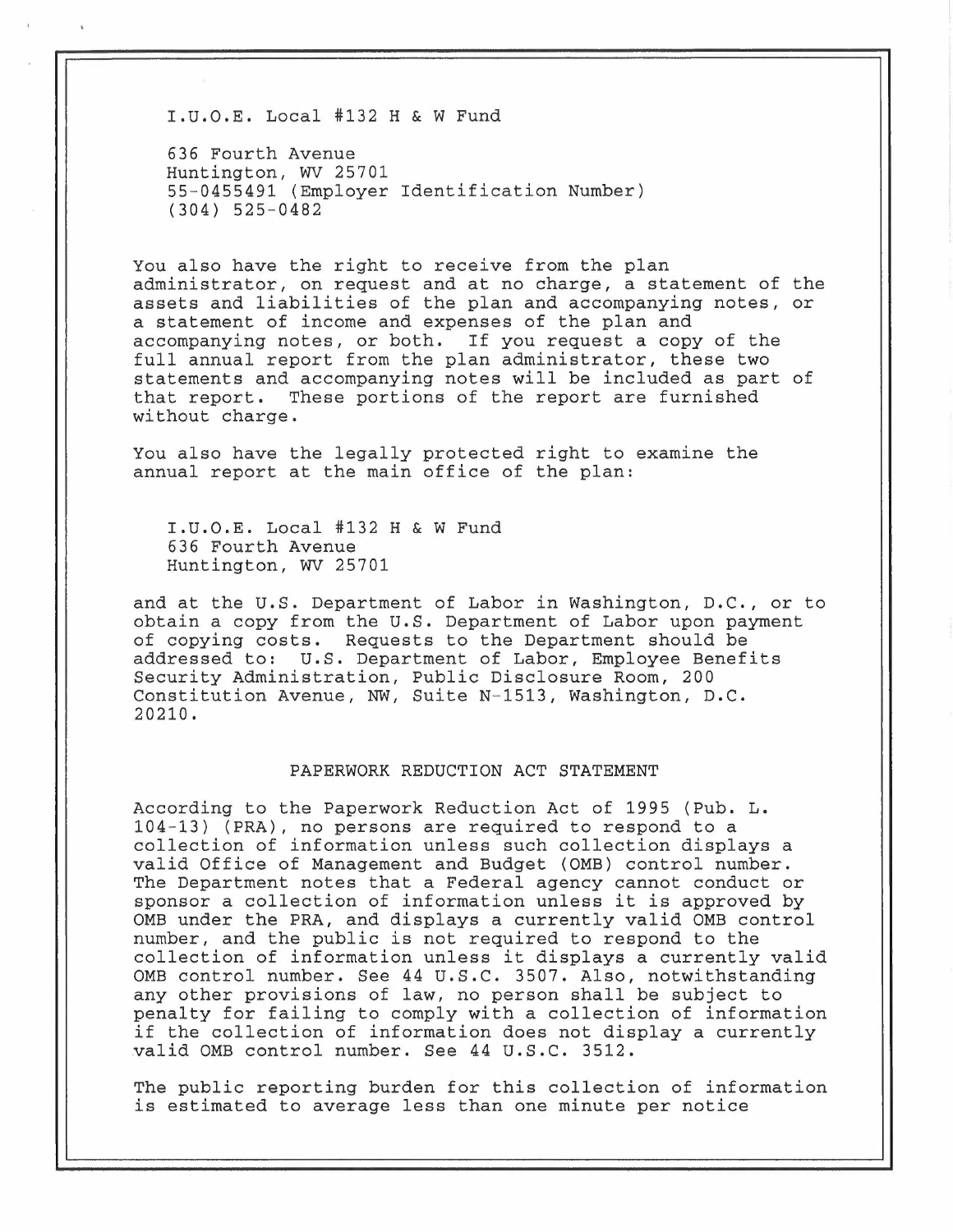I.u.o.E. Local #132 H & w Fund

636 Fourth Avenue Huntington, WV 25701 55-0455491 (Employer Identification Number) (304) 525-0482

You also have the right to receive from the plan administrator, on request and at no charge, a statement of the assets and liabilities of the plan and accompanying notes, or a statement of income and expenses of the plan and accompanying notes, or both. If you request a copy of the full annual report from the plan administrator, these two statements and accompanying notes will be included as part of that report. These portions of the report are furnished without charge.

You also have the legally protected right to examine the annual report at the main office of the plan:

I.U.O.E. Local #132 H & W Fund 636 Fourth Avenue Huntington, WV 25701

and at the U.S. Department of Labor in Washington, D.C., or to obtain a copy from the U.S. Department of Labor upon payment of copying costs. Requests to the Department should be addressed to: U.S. Department of Labor, Employee Benefits Security Administration, Public Disclosure Room, 200 Constitution Avenue, NW, Suite N-1513, Washington, D.C. 20210.

#### PAPERWORK REDUCTION ACT STATEMENT

According to the Paperwork Reduction Act of 1995 (Pub. L. 104-13) (PRA), no persons are required to respond to a collection of information unless such collection displays a valid Office of Management and Budget (0MB) control number. The Department notes that a Federal agency cannot conduct or sponsor a collection of information unless it is approved by 0MB under the PRA, and displays a currently valid 0MB control number, and the public is not required to respond to the collection of information unless it displays a currently valid OMB control number. See 44 U.S.C. 3507. Also, notwithstanding any other provisions of law, no person shall be subject to penalty for failing to comply with a collection of information if the collection of information does not display a currently valid 0MB control number. See 44 u.s.c. 3512.

The public reporting burden for this collection of information is estimated to average less than one minute per notice